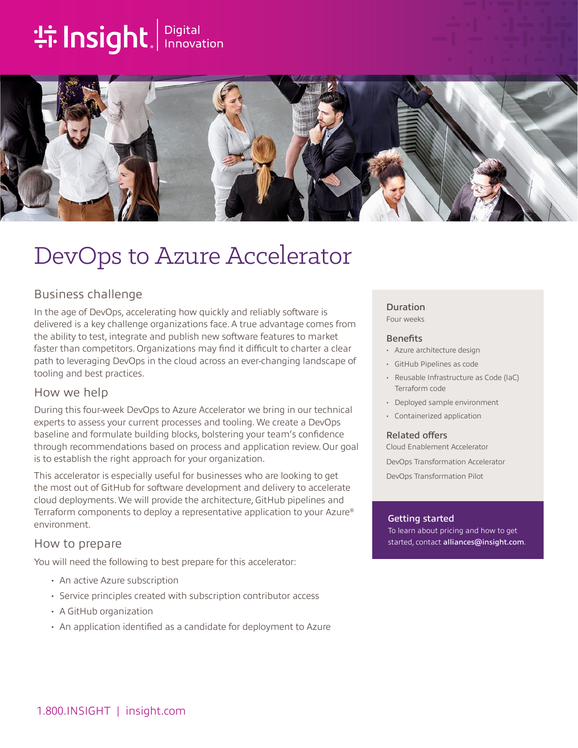# **the Insight**. Innovation



# DevOps to Azure Accelerator

# Business challenge

In the age of DevOps, accelerating how quickly and reliably software is delivered is a key challenge organizations face. A true advantage comes from the ability to test, integrate and publish new software features to market faster than competitors. Organizations may find it difficult to charter a clear path to leveraging DevOps in the cloud across an ever-changing landscape of tooling and best practices.

## How we help

During this four-week DevOps to Azure Accelerator we bring in our technical experts to assess your current processes and tooling. We create a DevOps baseline and formulate building blocks, bolstering your team's confidence through recommendations based on process and application review. Our goal is to establish the right approach for your organization.

This accelerator is especially useful for businesses who are looking to get the most out of GitHub for software development and delivery to accelerate cloud deployments. We will provide the architecture, GitHub pipelines and Terraform components to deploy a representative application to your Azure® environment.

## How to prepare

You will need the following to best prepare for this accelerator:

- An active Azure subscription
- Service principles created with subscription contributor access
- A GitHub organization
- An application identified as a candidate for deployment to Azure

### Duration

Four weeks

#### **Benefits**

- Azure architecture design
- GitHub Pipelines as code
- Reusable Infrastructure as Code (IaC) Terraform code
- Deployed sample environment
- Containerized application

#### Related offers

Cloud Enablement Accelerator DevOps Transformation Accelerator DevOps Transformation Pilot

#### Getting started

To learn about pricing and how to get started, contact [alliances@insight.com](mailto:alliances@insight.com).